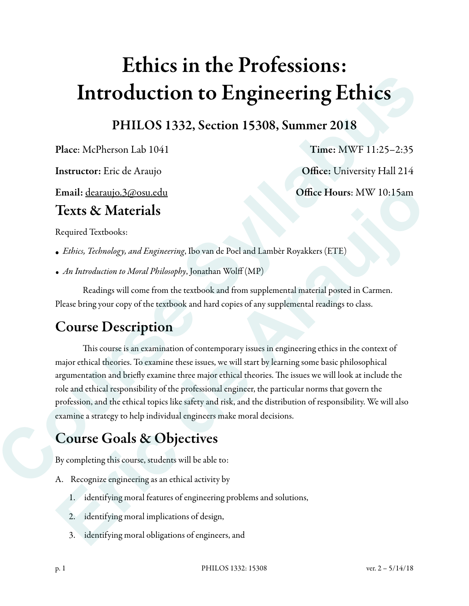# Ethics in the Professions: Introduction to Engineering Ethics

PHILOS 1332, Section 15308, Summer 2018

Place: McPherson Lab 1041 Time: MWF 11:25–2:35

Instructor: Eric de Araujo **Office: University Hall 214** 

Email: dearaujo.3@osu.edu Office Hours: MW 10:15am

### Texts & Materials

Required Textbooks:

- *Ethics, Technology, and Engineering*, Ibo van de Poel and Lambèr Royakkers (ETE)
- *• An Introduction to Moral Philosophy*, Jonathan Wolff (MP)

 Readings will come from the textbook and from supplemental material posted in Carmen. Please bring your copy of the textbook and hard copies of any supplemental readings to class.

## Course Description

This course is an examination of contemporary issues in engineering ethics in the context of major ethical theories. To examine these issues, we will start by learning some basic philosophical argumentation and briefly examine three major ethical theories. The issues we will look at include the role and ethical responsibility of the professional engineer, the particular norms that govern the profession, and the ethical topics like safety and risk, and the distribution of responsibility. We will also examine a strategy to help individual engineers make moral decisions. **Introduction to Engineering Ethics**<br>
PHILOS 1332, Section 15308, Summer 2018<br>
Place: McPherson Lab 1041<br>
Time: MWF 11:25-2:35<br>
Instructor: Eric de Araujo<br>
Instructor: Eric de Araujo<br>
Instructor: Eric de Araujo<br>
Coffice: U **Email:** decaraujo.3@osu.edu<br> **Eric de Araujo**<br> **Eric de Arauge de Arauge de Arauge de Arauge de Arauge de Arauge de Arauge de Arauge de Arauge de Arauge Arauge Sequence de Arauge Sequence Arauge Sequence Arauge Sequence A** 

# Course Goals & Objectives

By completing this course, students will be able to:

- A. Recognize engineering as an ethical activity by
	- 1. identifying moral features of engineering problems and solutions,
	- 2. identifying moral implications of design,
	- 3. identifying moral obligations of engineers, and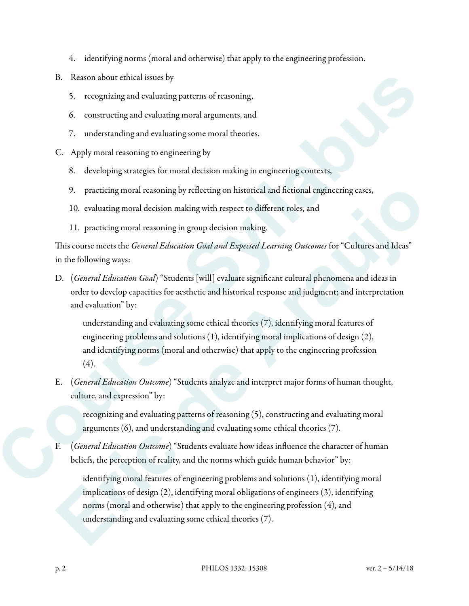- 4. identifying norms (moral and otherwise) that apply to the engineering profession.
- B. Reason about ethical issues by
	- 5. recognizing and evaluating patterns of reasoning,
	- 6. constructing and evaluating moral arguments, and
	- 7. understanding and evaluating some moral theories.
- C. Apply moral reasoning to engineering by
	- 8. developing strategies for moral decision making in engineering contexts,
	- 9. practicing moral reasoning by reflecting on historical and fictional engineering cases,
	- 10. evaluating moral decision making with respect to different roles, and
	- 11. practicing moral reasoning in group decision making.

Tis course meets the *General Education Goal and Expected Learning Outcomes* for "Cultures and Ideas" in the following ways:

D. (*General Education Goal*) "Students [will] evaluate significant cultural phenomena and ideas in order to develop capacities for aesthetic and historical response and judgment; and interpretation and evaluation" by:

understanding and evaluating some ethical theories (7), identifying moral features of engineering problems and solutions (1), identifying moral implications of design (2), and identifying norms (moral and otherwise) that apply to the engineering profession  $(4).$ **Ressum about chirical somes by**<br>
5. recognizing and evaluating patterns of reasoning,<br>
6. constraining and evaluating normal algorithms and<br>
7. understanding and evaluating some morel choosies.<br>
Constraining the more inte

E. (*General Education Outcome*) "Students analyze and interpret major forms of human thought, culture, and expression" by:

recognizing and evaluating patterns of reasoning (5), constructing and evaluating moral arguments (6), and understanding and evaluating some ethical theories (7).

F. (*General Education Outcome*) "Students evaluate how ideas influence the character of human beliefs, the perception of reality, and the norms which guide human behavior" by:

identifying moral features of engineering problems and solutions (1), identifying moral implications of design (2), identifying moral obligations of engineers (3), identifying norms (moral and otherwise) that apply to the engineering profession (4), and understanding and evaluating some ethical theories (7). 9. practicing moral reasoning by reflecting on historical and fietional engineering cases,<br>
10. evaluating moral decision making with respect to different roles, and<br>
11. practicing moral reasoning in group decision making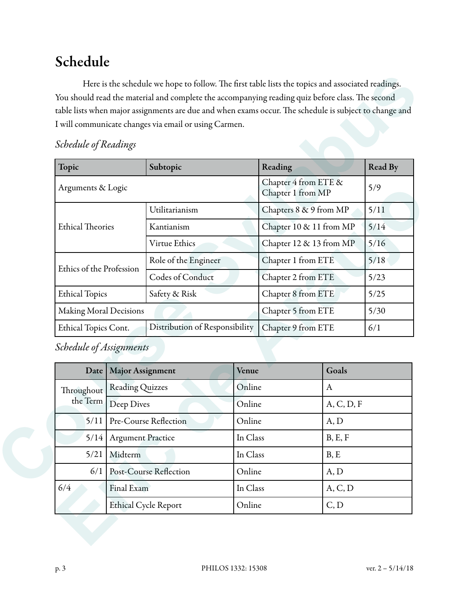## Schedule

|                             |                             | I will communicate changes via email or using Carmen. |        |                                           |              |            |  |
|-----------------------------|-----------------------------|-------------------------------------------------------|--------|-------------------------------------------|--------------|------------|--|
| <b>Schedule of Readings</b> |                             |                                                       |        |                                           |              |            |  |
| Topic                       |                             | Subtopic                                              |        | Reading                                   |              | Read By    |  |
| Arguments & Logic           |                             |                                                       |        | Chapter 4 from ETE &<br>Chapter 1 from MP |              | 5/9        |  |
| <b>Ethical Theories</b>     |                             | Utilitarianism                                        |        | Chapters 8 & 9 from MP                    |              | 5/11       |  |
|                             |                             | Kantianism                                            |        | Chapter 10 & 11 from MP                   |              | 5/14       |  |
|                             |                             | Virtue Ethics                                         |        | Chapter 12 & 13 from MP                   |              | 5/16       |  |
| Ethics of the Profession    |                             | Role of the Engineer                                  |        | Chapter 1 from ETE                        |              | 5/18       |  |
|                             |                             | Codes of Conduct                                      |        | Chapter 2 from ETE                        |              | 5/23       |  |
| <b>Ethical Topics</b>       |                             | Safety & Risk                                         |        | Chapter 8 from ETE                        |              | 5/25       |  |
| Making Moral Decisions      |                             |                                                       |        | Chapter 5 from ETE                        |              | $5/30$     |  |
| Ethical Topics Cont.        |                             | Distribution of Responsibility                        |        | Chapter 9 from ETE                        |              | 6/1        |  |
| Schedule of Assignments     |                             |                                                       |        |                                           |              |            |  |
| Date                        | <b>Major Assignment</b>     |                                                       | Venue  |                                           | Goals        |            |  |
| Throughout<br>the Term      | <b>Reading Quizzes</b>      |                                                       | Online |                                           | $\mathbf{A}$ |            |  |
|                             | Deep Dives                  |                                                       |        | Online                                    |              | A, C, D, F |  |
| 5/11                        | Pre-Course Reflection       |                                                       |        | Online                                    |              | A, D       |  |
|                             | 5/14   Argument Practice    |                                                       |        | In Class                                  |              | B, E, F    |  |
| 5/21                        | Midterm                     |                                                       |        | In Class                                  |              | B, E       |  |
| 6/1                         | Post-Course Reflection      |                                                       |        | Online                                    |              | A, D       |  |
| 6/4                         | Final Exam                  |                                                       |        | A, C, D<br>In Class                       |              |            |  |
|                             | <b>Ethical Cycle Report</b> |                                                       |        | C, D<br>Online                            |              |            |  |

#### *Schedule of Readings*

| Date       | <b>Major Assignment</b>       | Venue    | Goals      |
|------------|-------------------------------|----------|------------|
| Throughout | <b>Reading Quizzes</b>        | Online   | A          |
| the Term   | Deep Dives                    | Online   | A, C, D, F |
| 5/11       | <b>Pre-Course Reflection</b>  | Online   | A, D       |
| 5/14       | <b>Argument Practice</b>      | In Class | B, E, F    |
| 5/21       | Midterm                       | In Class | B, E       |
| 6/1        | <b>Post-Course Reflection</b> | Online   | A, D       |
| 6/4        | Final Exam                    | In Class | A, C, D    |
|            | <b>Ethical Cycle Report</b>   | Online   | C, D       |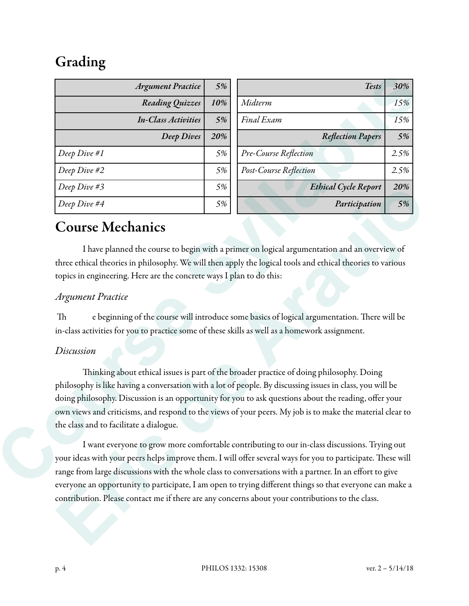# Grading

| <b>Argument Practice</b>                                                                                                                                | 5%  | <b>Tests</b>                                                                                                                                                                                                                                                                                                                                                                                                                | 30%  |
|---------------------------------------------------------------------------------------------------------------------------------------------------------|-----|-----------------------------------------------------------------------------------------------------------------------------------------------------------------------------------------------------------------------------------------------------------------------------------------------------------------------------------------------------------------------------------------------------------------------------|------|
| Reading Quizzes                                                                                                                                         | 10% | Midterm                                                                                                                                                                                                                                                                                                                                                                                                                     | 15%  |
| <b>In-Class Activities</b>                                                                                                                              | 5%  | Final Exam                                                                                                                                                                                                                                                                                                                                                                                                                  |      |
| <b>Deep Dives</b>                                                                                                                                       | 20% | <b>Reflection Papers</b>                                                                                                                                                                                                                                                                                                                                                                                                    | 5%   |
| Deep Dive #1                                                                                                                                            | 5%  | Pre-Course Reflection                                                                                                                                                                                                                                                                                                                                                                                                       | 2.5% |
| Deep Dive #2                                                                                                                                            | 5%  | Post-Course Reflection                                                                                                                                                                                                                                                                                                                                                                                                      | 2.5% |
| Deep Dive #3                                                                                                                                            | 5%  | <b>Ethical Cycle Report</b>                                                                                                                                                                                                                                                                                                                                                                                                 | 20%  |
| Deep Dive #4                                                                                                                                            | 5%  | Participation                                                                                                                                                                                                                                                                                                                                                                                                               | 5%   |
| <b>Argument Practice</b>                                                                                                                                |     |                                                                                                                                                                                                                                                                                                                                                                                                                             |      |
| Th                                                                                                                                                      |     | e beginning of the course will introduce some basics of logical argumentation. There will be                                                                                                                                                                                                                                                                                                                                |      |
| in-class activities for you to practice some of these skills as well as a homework assignment.<br>Discussion<br>the class and to facilitate a dialogue. |     | Thinking about ethical issues is part of the broader practice of doing philosophy. Doing<br>philosophy is like having a conversation with a lot of people. By discussing issues in class, you will be<br>doing philosophy. Discussion is an opportunity for you to ask questions about the reading, offer your<br>own views and criticisms, and respond to the views of your peers. My job is to make the material clear to |      |

### Course Mechanics

#### *Argument Practice*

#### *Discussion*

 I want everyone to grow more comfortable contributing to our in-class discussions. Trying out your ideas with your peers helps improve them. I will offer several ways for you to participate. These will range from large discussions with the whole class to conversations with a partner. In an effort to give everyone an opportunity to participate, I am open to trying different things so that everyone can make a contribution. Please contact me if there are any concerns about your contributions to the class. **Example 19**<br> **Example 1998**<br> **Example 1998**<br> **Example 1998**<br> **Example 1998**<br> **Example 2098**<br> **Example 2098**<br> **Example 2098**<br> **Example 2098**<br> **Example 2098**<br> **Example 2098**<br> **Example 2099**<br> **Example 2099**<br> **Example 2099**<br>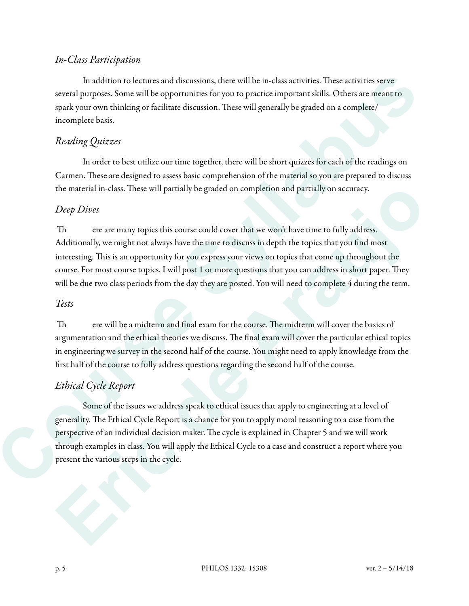#### *In-Class Participation*

In addition to lectures and discussions, there will be in-class activities. These activities serve several purposes. Some will be opportunities for you to practice important skills. Others are meant to spark your own thinking or facilitate discussion. These will generally be graded on a complete/ incomplete basis.

#### *Reading Quizzes*

 In order to best utilize our time together, there will be short quizzes for each of the readings on Carmen. These are designed to assess basic comprehension of the material so you are prepared to discuss the material in-class. These will partially be graded on completion and partially on accuracy.

#### *Deep Dives*

Th ere are many topics this course could cover that we won't have time to fully address. Additionally, we might not always have the time to discuss in depth the topics that you find most interesting. This is an opportunity for you express your views on topics that come up throughout the course. For most course topics, I will post 1 or more questions that you can address in short paper. They will be due two class periods from the day they are posted. You will need to complete 4 during the term. In addition to lactures and discussions, these will be in-class activities. These are<br>interest persons some will be opportunities for you to peach te important allah. Others are sensitive to spent by the syllabus by the pe the material in-class. These will partially be graded on completion and partially on accuracy.<br> **Example 10**<br>
Th crease many topics this course could cover that we won't have time to fully address.<br>
Additionally, we might

#### *Tests*

Th ere will be a midterm and final exam for the course. The midterm will cover the basics of argumentation and the ethical theories we discuss. The final exam will cover the particular ethical topics in engineering we survey in the second half of the course. You might need to apply knowledge from the first half of the course to fully address questions regarding the second half of the course.

#### *Ethical Cycle Report*

 Some of the issues we address speak to ethical issues that apply to engineering at a level of generality. The Ethical Cycle Report is a chance for you to apply moral reasoning to a case from the perspective of an individual decision maker. The cycle is explained in Chapter 5 and we will work through examples in class. You will apply the Ethical Cycle to a case and construct a report where you present the various steps in the cycle.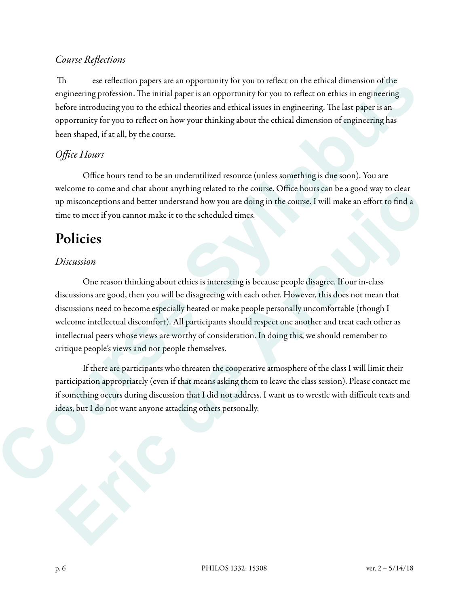#### *Course Re*fl*ections*

Th ese reflection papers are an opportunity for you to reflect on the ethical dimension of the engineering profession. The initial paper is an opportunity for you to reflect on ethics in engineering before introducing you to the ethical theories and ethical issues in engineering. The last paper is an opportunity for you to reflect on how your thinking about the ethical dimension of engineering has been shaped, if at all, by the course.

#### *O*ffi*ce Hours*

 Office hours tend to be an underutilized resource (unless something is due soon). You are welcome to come and chat about anything related to the course. Office hours can be a good way to clear up misconceptions and better understand how you are doing in the course. I will make an effort to find a time to meet if you cannot make it to the scheduled times.

### Policies

#### *Discussion*

 One reason thinking about ethics is interesting is because people disagree. If our in-class discussions are good, then you will be disagreeing with each other. However, this does not mean that discussions need to become especially heated or make people personally uncomfortable (though I welcome intellectual discomfort). All participants should respect one another and treat each other as intellectual peers whose views are worthy of consideration. In doing this, we should remember to critique people's views and not people themselves. The second casterior papers are an reportantity for you to trefluct on the chiral dimension of the engineering protestion. The initial paper is an opportantly for tyo to coreflect on enhic time papers and paper is an exper welcome to come and charabour anything related to the course. Office fours can be a good way to clear<br>up misconceptions and better understand how you are doing in the course. I will make an effort to find a<br>time to meet if

 If there are participants who threaten the cooperative atmosphere of the class I will limit their participation appropriately (even if that means asking them to leave the class session). Please contact me if something occurs during discussion that I did not address. I want us to wrestle with difficult texts and ideas, but I do not want anyone attacking others personally.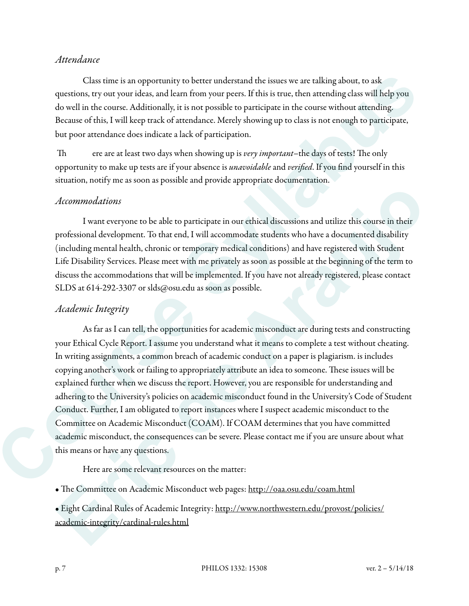#### *Attendance*

 Class time is an opportunity to better understand the issues we are talking about, to ask questions, try out your ideas, and learn from your peers. If this is true, then attending class will help you do well in the course. Additionally, it is not possible to participate in the course without attending. Because of this, I will keep track of attendance. Merely showing up to class is not enough to participate, but poor attendance does indicate a lack of participation.

Th ere are at least two days when showing up is *very important*–the days of tests! The only opportunity to make up tests are if your absence is *una*v*oidable* and *veri*fi*ed*. If you find yourself in this situation, notify me as soon as possible and provide appropriate documentation.

#### *Accommodations*

 I want everyone to be able to participate in our ethical discussions and utilize this course in their professional development. To that end, I will accommodate students who have a documented disability (including mental health, chronic or temporary medical conditions) and have registered with Student Life Disability Services. Please meet with me privately as soon as possible at the beginning of the term to discuss the accommodations that will be implemented. If you have not already registered, please contact SLDS at 614-292-3307 or slds@osu.edu as soon as possible.

#### *Academic Integrity*

 As far as I can tell, the opportunities for academic misconduct are during tests and constructing your Ethical Cycle Report. I assume you understand what it means to complete a test without cheating. In writing assignments, a common breach of academic conduct on a paper is plagiarism. is includes copying another's work or failing to appropriately attribute an idea to someone. These issues will be explained further when we discuss the report. However, you are responsible for understanding and adhering to the University's policies on academic misconduct found in the University's Code of Student Conduct. Further, I am obligated to report instances where I suspect academic misconduct to the Committee on Academic Misconduct (COAM). If COAM determines that you have committed academic misconduct, the consequences can be severe. Please contact me if you are unsure about what this means or have any questions. Class time is an opportunity in bester understand this issues we are talking about, in sale<br>questions, rey our your lided, and detain from your poses. If this is true, then are<br>realized as will be they could be syllabus a *Accommodations*<br>
I want everyone to be able to participate in our ethical discussions and utilize this course in their<br>professional development. To that end, I will accommodate students who have a documented dissluikty<br>(i

Here are some relevant resources on the matter:

• The Committee on Academic Misconduct web pages: http://oaa.osu.edu/coam.html

• Eight Cardinal Rules of Academic Integrity: http://www.northwestern.edu/provost/policies/ academic-integrity/cardinal-rules.html